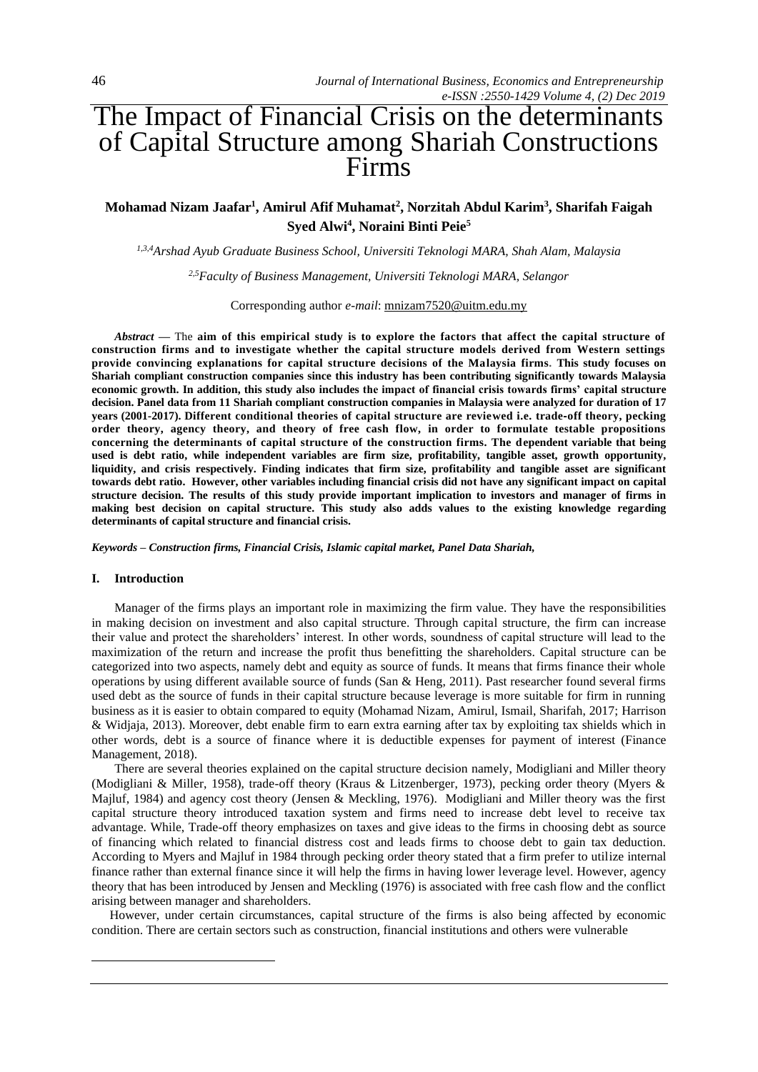# The Impact of Financial Crisis on the determinants of Capital Structure among Shariah Constructions Firms

# **Mohamad Nizam Jaafar<sup>1</sup> , Amirul Afif Muhamat<sup>2</sup> , Norzitah Abdul Karim<sup>3</sup> , Sharifah Faigah Syed Alwi<sup>4</sup> , Noraini Binti Peie<sup>5</sup>**

*1,3,4Arshad Ayub Graduate Business School, Universiti Teknologi MARA, Shah Alam, Malaysia*

*2,5Faculty of Business Management, Universiti Teknologi MARA, Selangor*

Corresponding author *e-mail*: [mnizam7520@uitm.edu.my](mailto:mnizam7520@uitm.edu.my)

*Abstract* **—** The **aim of this empirical study is to explore the factors that affect the capital structure of construction firms and to investigate whether the capital structure models derived from Western settings provide convincing explanations for capital structure decisions of the Malaysia firms. This study focuses on Shariah compliant construction companies since this industry has been contributing significantly towards Malaysia economic growth. In addition, this study also includes the impact of financial crisis towards firms' capital structure decision. Panel data from 11 Shariah compliant construction companies in Malaysia were analyzed for duration of 17 years (2001-2017). Different conditional theories of capital structure are reviewed i.e. trade**‐**off theory, pecking order theory, agency theory, and theory of free cash flow, in order to formulate testable propositions concerning the determinants of capital structure of the construction firms. The dependent variable that being used is debt ratio, while independent variables are firm size, profitability, tangible asset, growth opportunity, liquidity, and crisis respectively. Finding indicates that firm size, profitability and tangible asset are significant towards debt ratio. However, other variables including financial crisis did not have any significant impact on capital structure decision. The results of this study provide important implication to investors and manager of firms in making best decision on capital structure. This study also adds values to the existing knowledge regarding determinants of capital structure and financial crisis.**

*Keywords – Construction firms, Financial Crisis, Islamic capital market, Panel Data Shariah,*

### **I. Introduction**

Manager of the firms plays an important role in maximizing the firm value. They have the responsibilities in making decision on investment and also capital structure. Through capital structure, the firm can increase their value and protect the shareholders' interest. In other words, soundness of capital structure will lead to the maximization of the return and increase the profit thus benefitting the shareholders. Capital structure can be categorized into two aspects, namely debt and equity as source of funds. It means that firms finance their whole operations by using different available source of funds (San & Heng, 2011). Past researcher found several firms used debt as the source of funds in their capital structure because leverage is more suitable for firm in running business as it is easier to obtain compared to equity (Mohamad Nizam, Amirul, Ismail, Sharifah, 2017; Harrison & Widjaja, 2013). Moreover, debt enable firm to earn extra earning after tax by exploiting tax shields which in other words, debt is a source of finance where it is deductible expenses for payment of interest (Finance Management, 2018).

There are several theories explained on the capital structure decision namely, Modigliani and Miller theory (Modigliani & Miller, 1958), trade-off theory (Kraus & Litzenberger, 1973), pecking order theory (Myers & Majluf, 1984) and agency cost theory (Jensen & Meckling, 1976). Modigliani and Miller theory was the first capital structure theory introduced taxation system and firms need to increase debt level to receive tax advantage. While, Trade-off theory emphasizes on taxes and give ideas to the firms in choosing debt as source of financing which related to financial distress cost and leads firms to choose debt to gain tax deduction. According to Myers and Majluf in 1984 through pecking order theory stated that a firm prefer to utilize internal finance rather than external finance since it will help the firms in having lower leverage level. However, agency theory that has been introduced by Jensen and Meckling (1976) is associated with free cash flow and the conflict arising between manager and shareholders.

However, under certain circumstances, capital structure of the firms is also being affected by economic condition. There are certain sectors such as construction, financial institutions and others were vulnerable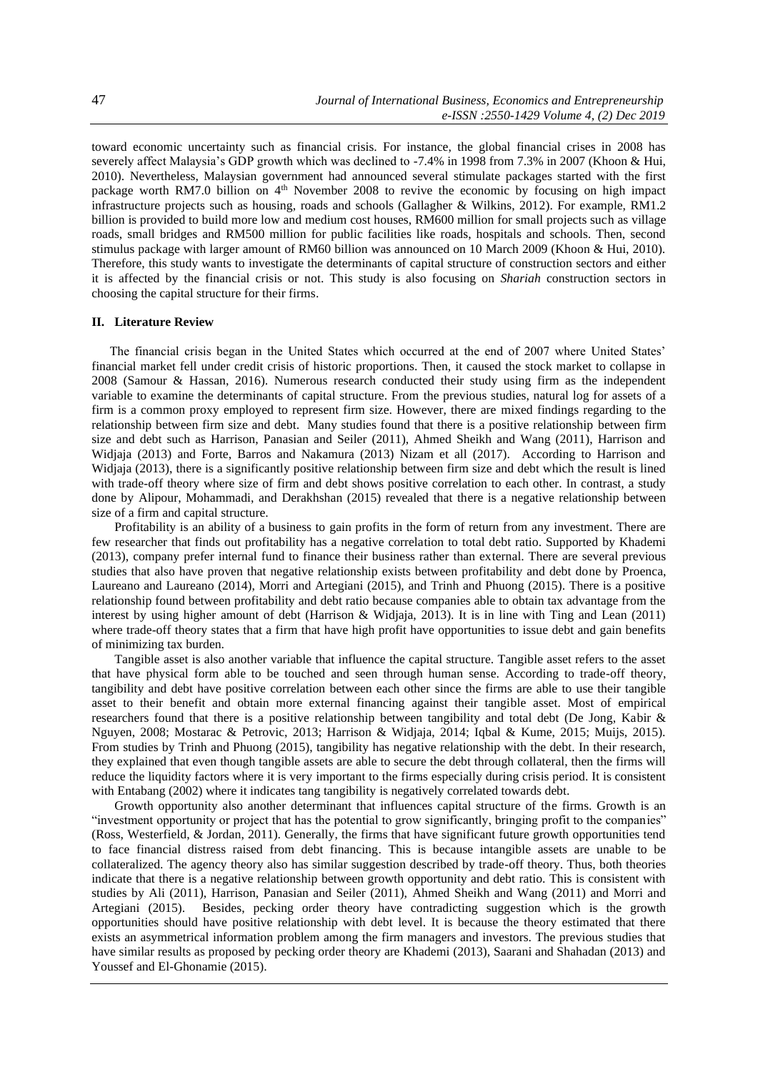toward economic uncertainty such as financial crisis. For instance, the global financial crises in 2008 has severely affect Malaysia's GDP growth which was declined to -7.4% in 1998 from 7.3% in 2007 (Khoon & Hui, 2010). Nevertheless, Malaysian government had announced several stimulate packages started with the first package worth RM7.0 billion on 4<sup>th</sup> November 2008 to revive the economic by focusing on high impact infrastructure projects such as housing, roads and schools (Gallagher & Wilkins, 2012). For example, RM1.2 billion is provided to build more low and medium cost houses, RM600 million for small projects such as village roads, small bridges and RM500 million for public facilities like roads, hospitals and schools. Then, second stimulus package with larger amount of RM60 billion was announced on 10 March 2009 (Khoon & Hui, 2010). Therefore, this study wants to investigate the determinants of capital structure of construction sectors and either it is affected by the financial crisis or not. This study is also focusing on *Shariah* construction sectors in choosing the capital structure for their firms.

### **II. Literature Review**

The financial crisis began in the United States which occurred at the end of 2007 where United States' financial market fell under credit crisis of historic proportions. Then, it caused the stock market to collapse in 2008 (Samour & Hassan, 2016). Numerous research conducted their study using firm as the independent variable to examine the determinants of capital structure. From the previous studies, natural log for assets of a firm is a common proxy employed to represent firm size. However, there are mixed findings regarding to the relationship between firm size and debt. Many studies found that there is a positive relationship between firm size and debt such as Harrison, Panasian and Seiler (2011), Ahmed Sheikh and Wang (2011), Harrison and Widjaja (2013) and Forte, Barros and Nakamura (2013) Nizam et all (2017). According to Harrison and Widjaja (2013), there is a significantly positive relationship between firm size and debt which the result is lined with trade-off theory where size of firm and debt shows positive correlation to each other. In contrast, a study done by Alipour, Mohammadi, and Derakhshan (2015) revealed that there is a negative relationship between size of a firm and capital structure.

Profitability is an ability of a business to gain profits in the form of return from any investment. There are few researcher that finds out profitability has a negative correlation to total debt ratio. Supported by Khademi (2013), company prefer internal fund to finance their business rather than external. There are several previous studies that also have proven that negative relationship exists between profitability and debt done by Proenca, Laureano and Laureano (2014), Morri and Artegiani (2015), and Trinh and Phuong (2015). There is a positive relationship found between profitability and debt ratio because companies able to obtain tax advantage from the interest by using higher amount of debt (Harrison & Widjaja, 2013). It is in line with Ting and Lean (2011) where trade-off theory states that a firm that have high profit have opportunities to issue debt and gain benefits of minimizing tax burden.

Tangible asset is also another variable that influence the capital structure. Tangible asset refers to the asset that have physical form able to be touched and seen through human sense. According to trade-off theory, tangibility and debt have positive correlation between each other since the firms are able to use their tangible asset to their benefit and obtain more external financing against their tangible asset. Most of empirical researchers found that there is a positive relationship between tangibility and total debt (De Jong, Kabir & Nguyen, 2008; Mostarac & Petrovic, 2013; Harrison & Widjaja, 2014; Iqbal & Kume, 2015; Muijs, 2015). From studies by Trinh and Phuong (2015), tangibility has negative relationship with the debt. In their research, they explained that even though tangible assets are able to secure the debt through collateral, then the firms will reduce the liquidity factors where it is very important to the firms especially during crisis period. It is consistent with Entabang (2002) where it indicates tang tangibility is negatively correlated towards debt.

Growth opportunity also another determinant that influences capital structure of the firms. Growth is an "investment opportunity or project that has the potential to grow significantly, bringing profit to the companies" (Ross, Westerfield, & Jordan, 2011). Generally, the firms that have significant future growth opportunities tend to face financial distress raised from debt financing. This is because intangible assets are unable to be collateralized. The agency theory also has similar suggestion described by trade-off theory. Thus, both theories indicate that there is a negative relationship between growth opportunity and debt ratio. This is consistent with studies by Ali (2011), Harrison, Panasian and Seiler (2011), Ahmed Sheikh and Wang (2011) and Morri and Artegiani (2015). Besides, pecking order theory have contradicting suggestion which is the growth opportunities should have positive relationship with debt level. It is because the theory estimated that there exists an asymmetrical information problem among the firm managers and investors. The previous studies that have similar results as proposed by pecking order theory are Khademi (2013), Saarani and Shahadan (2013) and Youssef and El-Ghonamie (2015).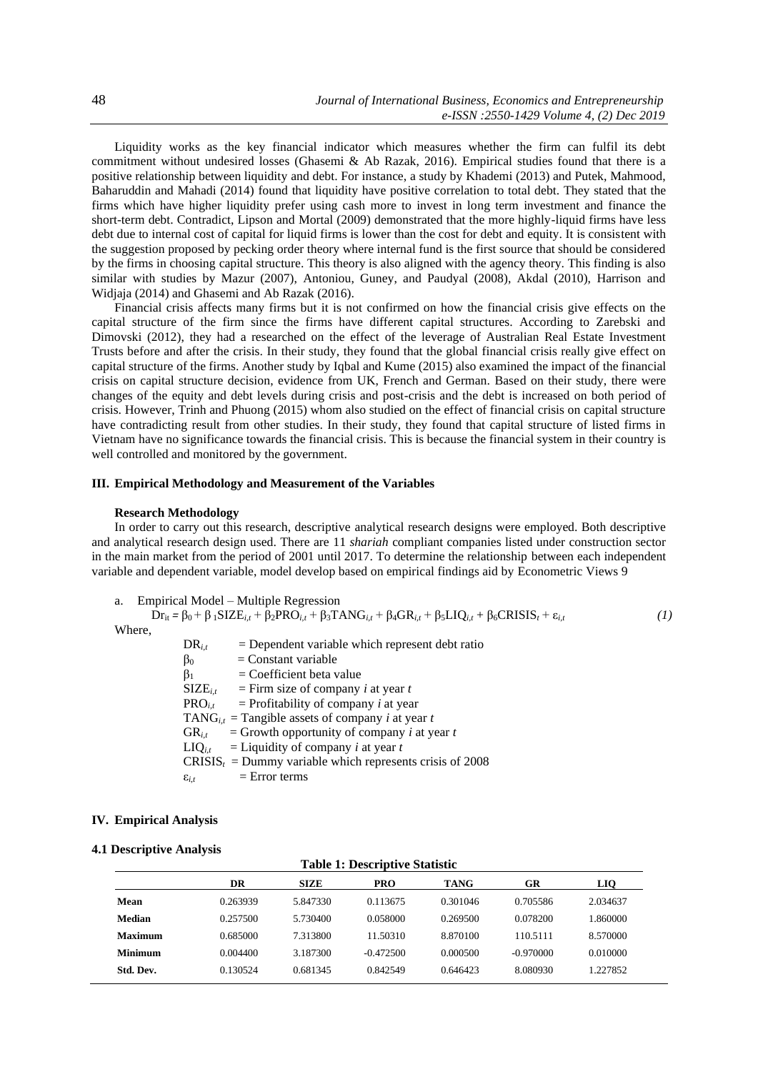Liquidity works as the key financial indicator which measures whether the firm can fulfil its debt commitment without undesired losses (Ghasemi & Ab Razak, 2016). Empirical studies found that there is a positive relationship between liquidity and debt. For instance, a study by Khademi (2013) and Putek, Mahmood, Baharuddin and Mahadi (2014) found that liquidity have positive correlation to total debt. They stated that the firms which have higher liquidity prefer using cash more to invest in long term investment and finance the short-term debt. Contradict, Lipson and Mortal (2009) demonstrated that the more highly-liquid firms have less debt due to internal cost of capital for liquid firms is lower than the cost for debt and equity. It is consistent with the suggestion proposed by pecking order theory where internal fund is the first source that should be considered by the firms in choosing capital structure. This theory is also aligned with the agency theory. This finding is also similar with studies by Mazur (2007), Antoniou, Guney, and Paudyal (2008), Akdal (2010), Harrison and Widjaja (2014) and Ghasemi and Ab Razak (2016).

Financial crisis affects many firms but it is not confirmed on how the financial crisis give effects on the capital structure of the firm since the firms have different capital structures. According to Zarebski and Dimovski (2012), they had a researched on the effect of the leverage of Australian Real Estate Investment Trusts before and after the crisis. In their study, they found that the global financial crisis really give effect on capital structure of the firms. Another study by Iqbal and Kume (2015) also examined the impact of the financial crisis on capital structure decision, evidence from UK, French and German. Based on their study, there were changes of the equity and debt levels during crisis and post-crisis and the debt is increased on both period of crisis. However, Trinh and Phuong (2015) whom also studied on the effect of financial crisis on capital structure have contradicting result from other studies. In their study, they found that capital structure of listed firms in Vietnam have no significance towards the financial crisis. This is because the financial system in their country is well controlled and monitored by the government.

# **III. Empirical Methodology and Measurement of the Variables**

### **Research Methodology**

In order to carry out this research, descriptive analytical research designs were employed. Both descriptive and analytical research design used. There are 11 *shariah* compliant companies listed under construction sector in the main market from the period of 2001 until 2017. To determine the relationship between each independent variable and dependent variable, model develop based on empirical findings aid by Econometric Views 9

a. Empirical Model – Multiple Regression

```
Drit = β0 + β 1SIZEi,t + β2PROi,t + β3TANGi,t + β4GRi,t + β5LIQi,t + β6CRISISt + εi,t (1)
Where,
              DR_{i,t} = Dependent variable which represent debt ratio
              \beta_0 = Constant variable
              \beta_1 = Coefficient beta value
              SIZE_{i,t} = Firm size of company i at year t<br>PRO<sub>it</sub> = Profitability of company i at year
                          = Profitability of company i at year
              TANG_{i,t} = Tangible assets of company i at year t
```
 $GR_{i,t}$  = Growth opportunity of company *i* at year *t*  $LIQ_{i,t}$  = Liquidity of company *i* at year *t*  $CRISIS<sub>t</sub> = Dummy variable which represents crisis of 2008$  $\varepsilon_{i,t}$  = Error terms

### **IV. Empirical Analysis**

#### **4.1 Descriptive Analysis**

# **Table 1: Descriptive Statistic DR SIZE PRO TANG GR LIQ Mean** 0.263939 5.847330 0.113675 0.301046 0.705586 2.034637 **Median** 0.257500 5.730400 0.058000 0.269500 0.078200 1.860000 **Maximum** 0.685000 7.313800 11.50310 8.870100 110.5111 8.570000 **Minimum** 0.004400 3.187300 -0.472500 0.000500 -0.970000 0.010000 **Std. Dev.** 0.130524 0.681345 0.842549 0.646423 8.080930 1.227852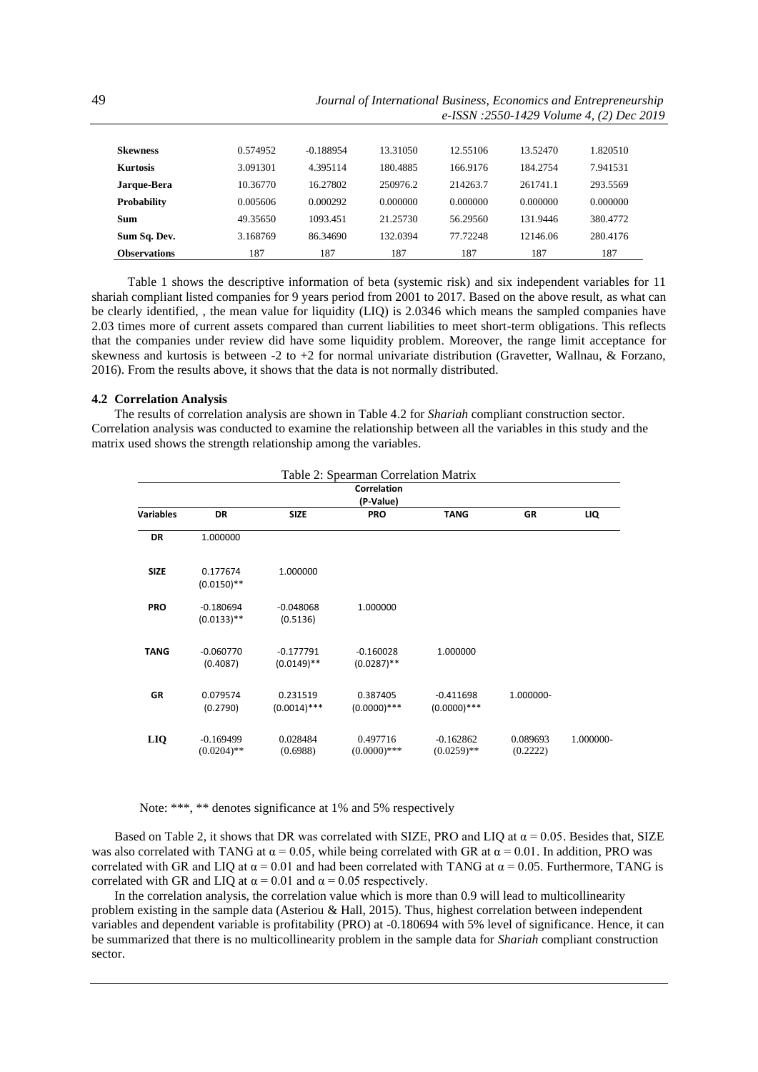49 *Journal of International Business, Economics and Entrepreneurship e-ISSN :2550-1429 Volume 4, (2) Dec 2019*

| <b>Skewness</b>     | 0.574952 | $-0.188954$ | 13.31050 | 12.55106 | 13.52470 | 1.820510 |
|---------------------|----------|-------------|----------|----------|----------|----------|
| <b>Kurtosis</b>     | 3.091301 | 4.395114    | 180.4885 | 166.9176 | 184.2754 | 7.941531 |
| Jarque-Bera         | 10.36770 | 16.27802    | 250976.2 | 214263.7 | 261741.1 | 293.5569 |
| <b>Probability</b>  | 0.005606 | 0.000292    | 0.000000 | 0.000000 | 0.000000 | 0.000000 |
| Sum                 | 49.35650 | 1093.451    | 21.25730 | 56.29560 | 131.9446 | 380.4772 |
| Sum Sq. Dev.        | 3.168769 | 86.34690    | 132.0394 | 77.72248 | 12146.06 | 280.4176 |
| <b>Observations</b> | 187      | 187         | 187      | 187      | 187      | 187      |

Table 1 shows the descriptive information of beta (systemic risk) and six independent variables for 11 shariah compliant listed companies for 9 years period from 2001 to 2017. Based on the above result, as what can be clearly identified, , the mean value for liquidity (LIQ) is 2.0346 which means the sampled companies have 2.03 times more of current assets compared than current liabilities to meet short-term obligations. This reflects that the companies under review did have some liquidity problem. Moreover, the range limit acceptance for skewness and kurtosis is between -2 to +2 for normal univariate distribution (Gravetter, Wallnau, & Forzano, 2016). From the results above, it shows that the data is not normally distributed.

#### **4.2 Correlation Analysis**

The results of correlation analysis are shown in Table 4.2 for *Shariah* compliant construction sector. Correlation analysis was conducted to examine the relationship between all the variables in this study and the matrix used shows the strength relationship among the variables.

|             | Table 2: Spearman Correlation Matrix<br>Correlation<br>(P-Value) |                              |                              |                               |                      |           |
|-------------|------------------------------------------------------------------|------------------------------|------------------------------|-------------------------------|----------------------|-----------|
|             |                                                                  |                              |                              |                               |                      |           |
| Variables   | <b>DR</b>                                                        | <b>SIZE</b>                  | <b>PRO</b>                   | <b>TANG</b>                   | <b>GR</b>            | LIQ       |
| DR          | 1.000000                                                         |                              |                              |                               |                      |           |
| <b>SIZE</b> | 0.177674<br>$(0.0150)$ **                                        | 1.000000                     |                              |                               |                      |           |
| <b>PRO</b>  | $-0.180694$<br>$(0.0133)$ **                                     | $-0.048068$<br>(0.5136)      | 1.000000                     |                               |                      |           |
| <b>TANG</b> | $-0.060770$<br>(0.4087)                                          | $-0.177791$<br>$(0.0149)$ ** | $-0.160028$<br>$(0.0287)$ ** | 1.000000                      |                      |           |
| <b>GR</b>   | 0.079574<br>(0.2790)                                             | 0.231519<br>$(0.0014)$ ***   | 0.387405<br>$(0.0000)****$   | $-0.411698$<br>$(0.0000)****$ | 1.000000-            |           |
| <b>LIQ</b>  | $-0.169499$<br>$(0.0204)$ **                                     | 0.028484<br>(0.6988)         | 0.497716<br>$(0.0000)$ ***   | $-0.162862$<br>$(0.0259)$ **  | 0.089693<br>(0.2222) | 1.000000- |

Note: \*\*\*, \*\* denotes significance at 1% and 5% respectively

Based on Table 2, it shows that DR was correlated with SIZE, PRO and LIQ at  $\alpha$  = 0.05. Besides that, SIZE was also correlated with TANG at  $\alpha$  = 0.05, while being correlated with GR at  $\alpha$  = 0.01. In addition, PRO was correlated with GR and LIQ at  $\alpha$  = 0.01 and had been correlated with TANG at  $\alpha$  = 0.05. Furthermore, TANG is correlated with GR and LIQ at  $\alpha$  = 0.01 and  $\alpha$  = 0.05 respectively.

In the correlation analysis, the correlation value which is more than 0.9 will lead to multicollinearity problem existing in the sample data (Asteriou & Hall, 2015). Thus, highest correlation between independent variables and dependent variable is profitability (PRO) at -0.180694 with 5% level of significance. Hence, it can be summarized that there is no multicollinearity problem in the sample data for *Shariah* compliant construction sector.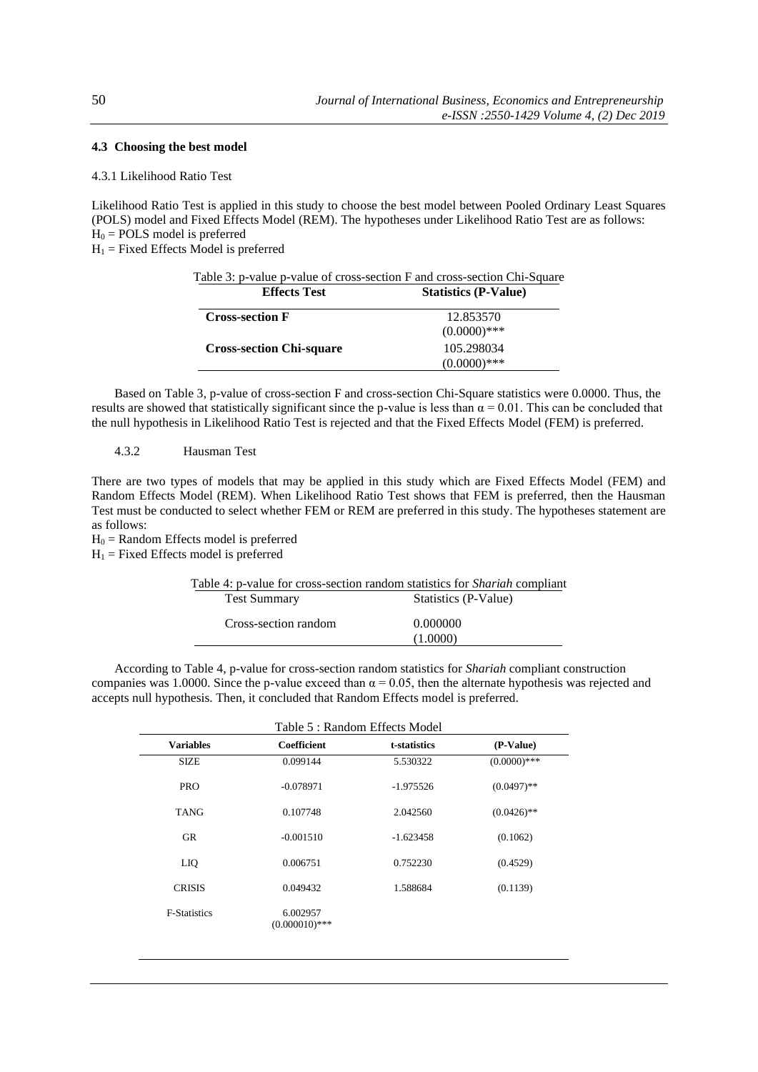# **4.3 Choosing the best model**

# 4.3.1 Likelihood Ratio Test

Likelihood Ratio Test is applied in this study to choose the best model between Pooled Ordinary Least Squares (POLS) model and Fixed Effects Model (REM). The hypotheses under Likelihood Ratio Test are as follows:  $H_0 = \text{POLS}$  model is preferred

 $H_1$  = Fixed Effects Model is preferred

| <b>Effects Test</b>             | Table 3: p-value p-value of cross-section F and cross-section Chi-Square<br><b>Statistics (P-Value)</b> |  |  |
|---------------------------------|---------------------------------------------------------------------------------------------------------|--|--|
| <b>Cross-section F</b>          | 12.853570<br>$(0.0000)$ ***                                                                             |  |  |
| <b>Cross-section Chi-square</b> | 105.298034<br>$(0.0000)$ ***                                                                            |  |  |

Based on Table 3, p-value of cross-section F and cross-section Chi-Square statistics were 0.0000. Thus, the results are showed that statistically significant since the p-value is less than  $\alpha = 0.01$ . This can be concluded that the null hypothesis in Likelihood Ratio Test is rejected and that the Fixed Effects Model (FEM) is preferred.

# 4.3.2 Hausman Test

There are two types of models that may be applied in this study which are Fixed Effects Model (FEM) and Random Effects Model (REM). When Likelihood Ratio Test shows that FEM is preferred, then the Hausman Test must be conducted to select whether FEM or REM are preferred in this study. The hypotheses statement are as follows:

 $H_0$  = Random Effects model is preferred

 $H_1$  = Fixed Effects model is preferred

| Table 4: p-value for cross-section random statistics for <i>Shariah</i> compliant |                      |  |  |
|-----------------------------------------------------------------------------------|----------------------|--|--|
| <b>Test Summary</b>                                                               | Statistics (P-Value) |  |  |
| Cross-section random                                                              | 0.000000             |  |  |
|                                                                                   | (1.0000)             |  |  |

According to Table 4, p-value for cross-section random statistics for *Shariah* compliant construction companies was 1.0000. Since the p-value exceed than  $\alpha = 0.05$ , then the alternate hypothesis was rejected and accepts null hypothesis. Then, it concluded that Random Effects model is preferred.

| Table 5 : Random Effects Model |                              |              |                |  |
|--------------------------------|------------------------------|--------------|----------------|--|
| <b>Variables</b>               | <b>Coefficient</b>           | t-statistics | (P-Value)      |  |
| <b>SIZE</b>                    | 0.099144                     | 5.530322     | $(0.0000)$ *** |  |
| <b>PRO</b>                     | $-0.078971$                  | $-1.975526$  | $(0.0497)$ **  |  |
| <b>TANG</b>                    | 0.107748                     | 2.042560     | $(0.0426)$ **  |  |
| <b>GR</b>                      | $-0.001510$                  | $-1.623458$  | (0.1062)       |  |
| LIQ                            | 0.006751                     | 0.752230     | (0.4529)       |  |
| <b>CRISIS</b>                  | 0.049432                     | 1.588684     | (0.1139)       |  |
| <b>F-Statistics</b>            | 6.002957<br>$(0.000010)$ *** |              |                |  |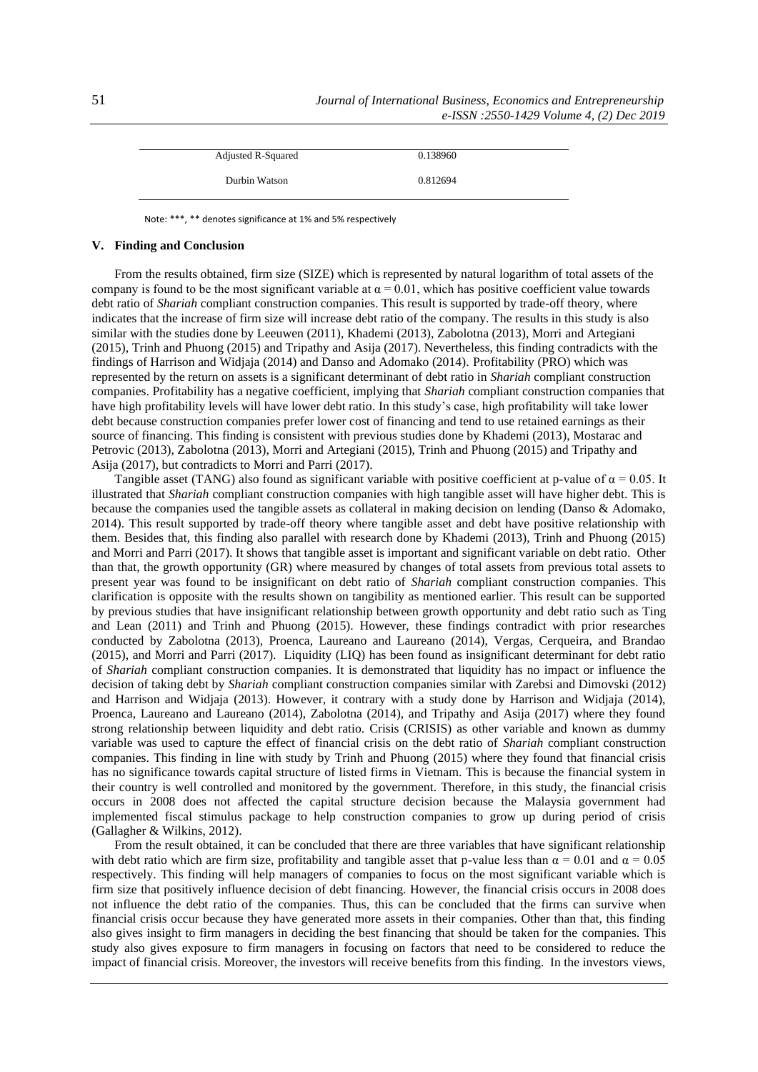| <b>Adjusted R-Squared</b> | 0.138960 |  |
|---------------------------|----------|--|
| Durbin Watson             | 0.812694 |  |

Note: \*\*\*, \*\* denotes significance at 1% and 5% respectively

### **V. Finding and Conclusion**

From the results obtained, firm size (SIZE) which is represented by natural logarithm of total assets of the company is found to be the most significant variable at  $\alpha = 0.01$ , which has positive coefficient value towards debt ratio of *Shariah* compliant construction companies. This result is supported by trade-off theory, where indicates that the increase of firm size will increase debt ratio of the company. The results in this study is also similar with the studies done by Leeuwen (2011), Khademi (2013), Zabolotna (2013), Morri and Artegiani (2015), Trinh and Phuong (2015) and Tripathy and Asija (2017). Nevertheless, this finding contradicts with the findings of Harrison and Widjaja (2014) and Danso and Adomako (2014). Profitability (PRO) which was represented by the return on assets is a significant determinant of debt ratio in *Shariah* compliant construction companies. Profitability has a negative coefficient, implying that *Shariah* compliant construction companies that have high profitability levels will have lower debt ratio. In this study's case, high profitability will take lower debt because construction companies prefer lower cost of financing and tend to use retained earnings as their source of financing. This finding is consistent with previous studies done by Khademi (2013), Mostarac and Petrovic (2013), Zabolotna (2013), Morri and Artegiani (2015), Trinh and Phuong (2015) and Tripathy and Asija (2017), but contradicts to Morri and Parri (2017).

Tangible asset (TANG) also found as significant variable with positive coefficient at p-value of  $\alpha = 0.05$ . It illustrated that *Shariah* compliant construction companies with high tangible asset will have higher debt. This is because the companies used the tangible assets as collateral in making decision on lending (Danso & Adomako, 2014). This result supported by trade-off theory where tangible asset and debt have positive relationship with them. Besides that, this finding also parallel with research done by Khademi (2013), Trinh and Phuong (2015) and Morri and Parri (2017). It shows that tangible asset is important and significant variable on debt ratio. Other than that, the growth opportunity (GR) where measured by changes of total assets from previous total assets to present year was found to be insignificant on debt ratio of *Shariah* compliant construction companies. This clarification is opposite with the results shown on tangibility as mentioned earlier. This result can be supported by previous studies that have insignificant relationship between growth opportunity and debt ratio such as Ting and Lean (2011) and Trinh and Phuong (2015). However, these findings contradict with prior researches conducted by Zabolotna (2013), Proenca, Laureano and Laureano (2014), Vergas, Cerqueira, and Brandao (2015), and Morri and Parri (2017). Liquidity (LIQ) has been found as insignificant determinant for debt ratio of *Shariah* compliant construction companies. It is demonstrated that liquidity has no impact or influence the decision of taking debt by *Shariah* compliant construction companies similar with Zarebsi and Dimovski (2012) and Harrison and Widjaja (2013). However, it contrary with a study done by Harrison and Widjaja (2014), Proenca, Laureano and Laureano (2014), Zabolotna (2014), and Tripathy and Asija (2017) where they found strong relationship between liquidity and debt ratio. Crisis (CRISIS) as other variable and known as dummy variable was used to capture the effect of financial crisis on the debt ratio of *Shariah* compliant construction companies. This finding in line with study by Trinh and Phuong (2015) where they found that financial crisis has no significance towards capital structure of listed firms in Vietnam. This is because the financial system in their country is well controlled and monitored by the government. Therefore, in this study, the financial crisis occurs in 2008 does not affected the capital structure decision because the Malaysia government had implemented fiscal stimulus package to help construction companies to grow up during period of crisis (Gallagher & Wilkins, 2012).

From the result obtained, it can be concluded that there are three variables that have significant relationship with debt ratio which are firm size, profitability and tangible asset that p-value less than  $\alpha = 0.01$  and  $\alpha = 0.05$ respectively. This finding will help managers of companies to focus on the most significant variable which is firm size that positively influence decision of debt financing. However, the financial crisis occurs in 2008 does not influence the debt ratio of the companies. Thus, this can be concluded that the firms can survive when financial crisis occur because they have generated more assets in their companies. Other than that, this finding also gives insight to firm managers in deciding the best financing that should be taken for the companies. This study also gives exposure to firm managers in focusing on factors that need to be considered to reduce the impact of financial crisis. Moreover, the investors will receive benefits from this finding. In the investors views,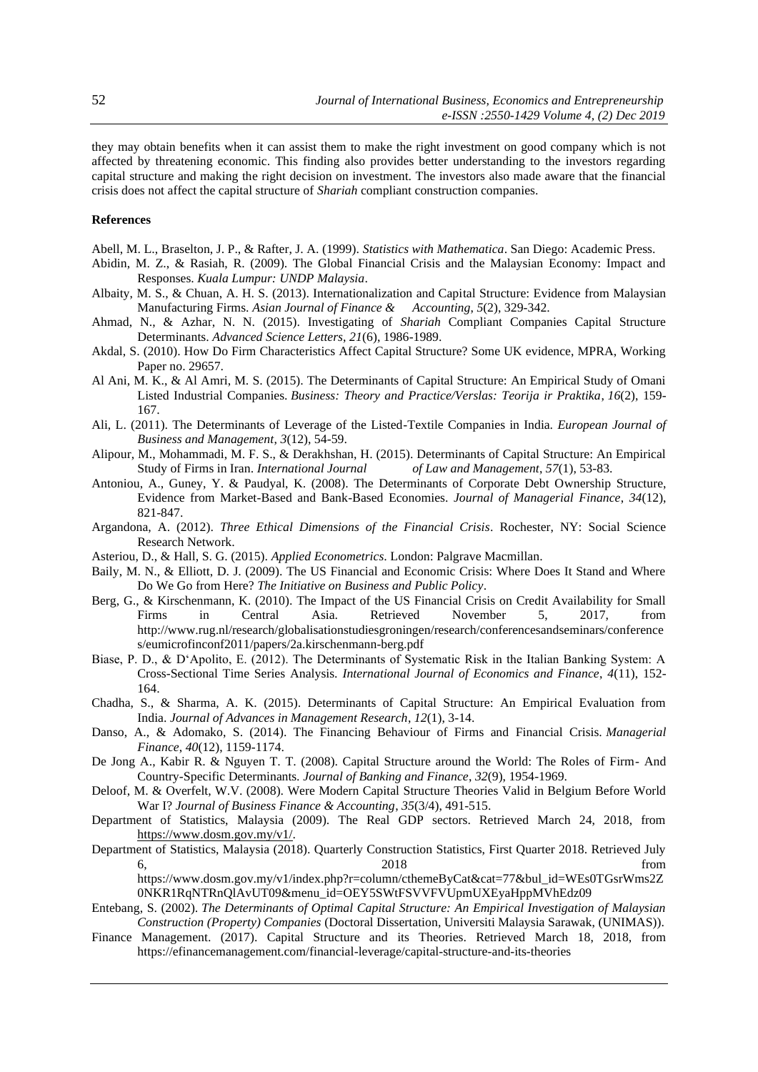they may obtain benefits when it can assist them to make the right investment on good company which is not affected by threatening economic. This finding also provides better understanding to the investors regarding capital structure and making the right decision on investment. The investors also made aware that the financial crisis does not affect the capital structure of *Shariah* compliant construction companies.

# **References**

Abell, M. L., Braselton, J. P., & Rafter, J. A. (1999). *Statistics with Mathematica*. San Diego: Academic Press.

- Abidin, M. Z., & Rasiah, R. (2009). The Global Financial Crisis and the Malaysian Economy: Impact and Responses. *Kuala Lumpur: UNDP Malaysia*.
- Albaity, M. S., & Chuan, A. H. S. (2013). Internationalization and Capital Structure: Evidence from Malaysian Manufacturing Firms. *Asian Journal of Finance & Accounting*, *5*(2), 329-342.
- Ahmad, N., & Azhar, N. N. (2015). Investigating of *Shariah* Compliant Companies Capital Structure Determinants. *Advanced Science Letters*, *21*(6), 1986-1989.
- Akdal, S. (2010). How Do Firm Characteristics Affect Capital Structure? Some UK evidence, MPRA, Working Paper no. 29657.
- Al Ani, M. K., & Al Amri, M. S. (2015). The Determinants of Capital Structure: An Empirical Study of Omani Listed Industrial Companies. *Business: Theory and Practice/Verslas: Teorija ir Praktika*, *16*(2), 159- 167.
- Ali, L. (2011). The Determinants of Leverage of the Listed-Textile Companies in India. *European Journal of Business and Management*, *3*(12), 54-59.
- Alipour, M., Mohammadi, M. F. S., & Derakhshan, H. (2015). Determinants of Capital Structure: An Empirical Study of Firms in Iran. *International Journal of Law and Management*, *57*(1), 53-83.
- Antoniou, A., Guney, Y. & Paudyal, K. (2008). The Determinants of Corporate Debt Ownership Structure, Evidence from Market-Based and Bank-Based Economies. *Journal of Managerial Finance*, *34*(12), 821-847.
- Argandona, A. (2012). *Three Ethical Dimensions of the Financial Crisis*. Rochester, NY: Social Science Research Network.
- Asteriou, D., & Hall, S. G. (2015). *Applied Econometrics*. London: Palgrave Macmillan.
- Baily, M. N., & Elliott, D. J. (2009). The US Financial and Economic Crisis: Where Does It Stand and Where Do We Go from Here? *The Initiative on Business and Public Policy*.
- Berg, G., & Kirschenmann, K. (2010). The Impact of the US Financial Crisis on Credit Availability for Small Firms in Central Asia. Retrieved November 5, 2017, from http://www.rug.nl/research/globalisationstudiesgroningen/research/conferencesandseminars/conference s/eumicrofinconf2011/papers/2a.kirschenmann-berg.pdf
- Biase, P. D., & D'Apolito, E. (2012). The Determinants of Systematic Risk in the Italian Banking System: A Cross-Sectional Time Series Analysis. *International Journal of Economics and Finance*, *4*(11), 152- 164.
- Chadha, S., & Sharma, A. K. (2015). Determinants of Capital Structure: An Empirical Evaluation from India. *Journal of Advances in Management Research*, *12*(1), 3-14.
- Danso, A., & Adomako, S. (2014). The Financing Behaviour of Firms and Financial Crisis. *Managerial Finance*, *40*(12), 1159-1174.
- De Jong A., Kabir R. & Nguyen T. T. (2008). Capital Structure around the World: The Roles of Firm- And Country-Specific Determinants. *Journal of Banking and Finance*, *32*(9), 1954-1969.
- Deloof, M. & Overfelt, W.V. (2008). Were Modern Capital Structure Theories Valid in Belgium Before World War I? *Journal of Business Finance & Accounting*, *35*(3/4), 491-515.
- Department of Statistics, Malaysia (2009). The Real GDP sectors. Retrieved March 24, 2018, from [https://www.dosm.gov.my/v1/.](https://www.dosm.gov.my/v1/)
- Department of Statistics, Malaysia (2018). Quarterly Construction Statistics, First Quarter 2018. Retrieved July 6, 2018 from https://www.dosm.gov.my/v1/index.php?r=column/cthemeByCat&cat=77&bul\_id=WEs0TGsrWms2Z

0NKR1RqNTRnQlAvUT09&menu\_id=OEY5SWtFSVVFVUpmUXEyaHppMVhEdz09

- Entebang, S. (2002). *The Determinants of Optimal Capital Structure: An Empirical Investigation of Malaysian Construction (Property) Companies* (Doctoral Dissertation, Universiti Malaysia Sarawak, (UNIMAS)).
- Finance Management. (2017). Capital Structure and its Theories. Retrieved March 18, 2018, from https://efinancemanagement.com/financial-leverage/capital-structure-and-its-theories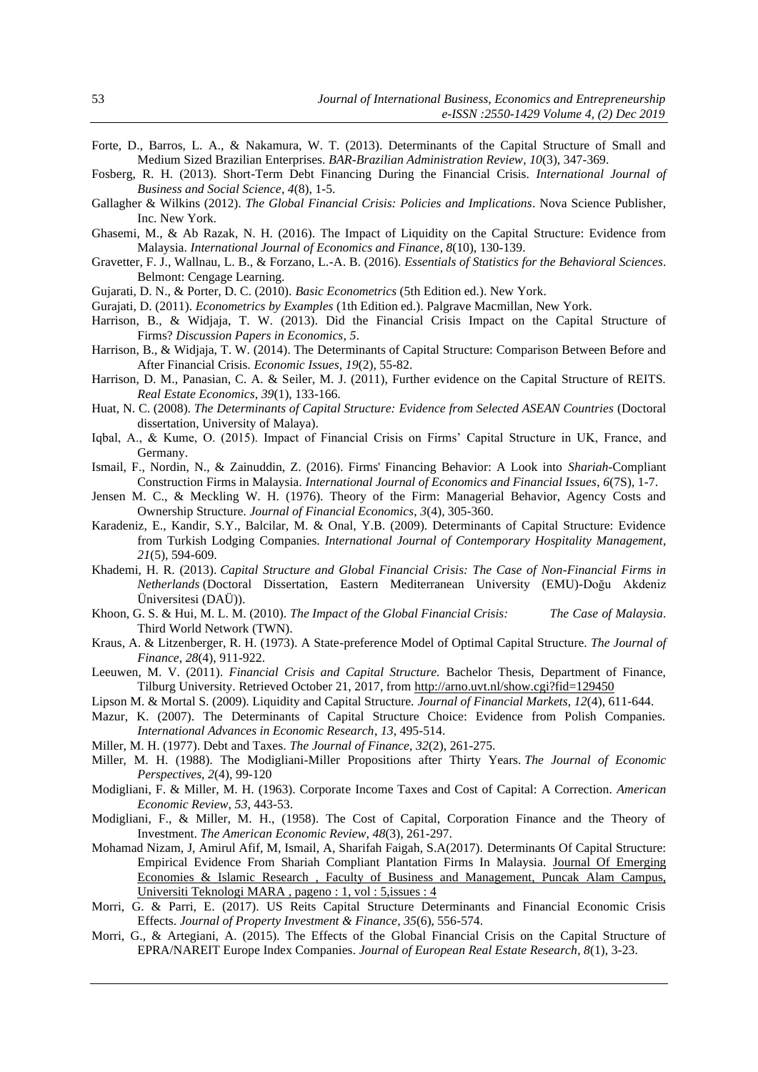- Forte, D., Barros, L. A., & Nakamura, W. T. (2013). Determinants of the Capital Structure of Small and Medium Sized Brazilian Enterprises. *BAR-Brazilian Administration Review*, *10*(3), 347-369.
- Fosberg, R. H. (2013). Short-Term Debt Financing During the Financial Crisis. *International Journal of Business and Social Science*, *4*(8), 1-5.
- Gallagher & Wilkins (2012). *The Global Financial Crisis: Policies and Implications*. Nova Science Publisher, Inc. New York.
- Ghasemi, M., & Ab Razak, N. H. (2016). The Impact of Liquidity on the Capital Structure: Evidence from Malaysia. *International Journal of Economics and Finance*, *8*(10), 130-139.
- Gravetter, F. J., Wallnau, L. B., & Forzano, L.-A. B. (2016). *Essentials of Statistics for the Behavioral Sciences*. Belmont: Cengage Learning.
- Gujarati, D. N., & Porter, D. C. (2010). *Basic Econometrics* (5th Edition ed.). New York.
- Gurajati, D. (2011). *Econometrics by Examples* (1th Edition ed.). Palgrave Macmillan, New York.
- Harrison, B., & Widjaja, T. W. (2013). Did the Financial Crisis Impact on the Capital Structure of Firms? *Discussion Papers in Economics*, *5*.
- Harrison, B., & Widjaja, T. W. (2014). The Determinants of Capital Structure: Comparison Between Before and After Financial Crisis. *Economic Issues*, *19*(2), 55-82.
- Harrison, D. M., Panasian, C. A. & Seiler, M. J. (2011), Further evidence on the Capital Structure of REITS. *Real Estate Economics*, *39*(1), 133-166.
- Huat, N. C. (2008). *The Determinants of Capital Structure: Evidence from Selected ASEAN Countries* (Doctoral dissertation, University of Malaya).
- Iqbal, A., & Kume, O. (2015). Impact of Financial Crisis on Firms' Capital Structure in UK, France, and Germany.
- Ismail, F., Nordin, N., & Zainuddin, Z. (2016). Firms' Financing Behavior: A Look into *Shariah*-Compliant Construction Firms in Malaysia. *International Journal of Economics and Financial Issues*, *6*(7S), 1-7.
- Jensen M. C., & Meckling W. H. (1976). Theory of the Firm: Managerial Behavior, Agency Costs and Ownership Structure. *Journal of Financial Economics*, *3*(4), 305-360.
- Karadeniz, E., Kandir, S.Y., Balcilar, M. & Onal, Y.B. (2009). Determinants of Capital Structure: Evidence from Turkish Lodging Companies. *International Journal of Contemporary Hospitality Management*, *21*(5), 594-609.
- Khademi, H. R. (2013). *Capital Structure and Global Financial Crisis: The Case of Non-Financial Firms in Netherlands* (Doctoral Dissertation, Eastern Mediterranean University (EMU)-Doğu Akdeniz Üniversitesi (DAÜ)).
- Khoon, G. S. & Hui, M. L. M. (2010). *The Impact of the Global Financial Crisis: The Case of Malaysia*. Third World Network (TWN).
- Kraus, A. & Litzenberger, R. H. (1973). A State-preference Model of Optimal Capital Structure. *The Journal of Finance*, *28*(4), 911-922.
- Leeuwen, M. V. (2011). *Financial Crisis and Capital Structure.* Bachelor Thesis, Department of Finance, Tilburg University. Retrieved October 21, 2017, fro[m http://arno.uvt.nl/show.cgi?fid=129450](http://arno.uvt.nl/show.cgi?fid=129450)
- Lipson M. & Mortal S. (2009). Liquidity and Capital Structure. *Journal of Financial Markets*, *12*(4), 611-644.
- Mazur, K. (2007). The Determinants of Capital Structure Choice: Evidence from Polish Companies. *International Advances in Economic Research*, *13*, 495-514.
- Miller, M. H. (1977). Debt and Taxes. *The Journal of Finance*, *32*(2), 261-275.
- Miller, M. H. (1988). The Modigliani-Miller Propositions after Thirty Years. *The Journal of Economic Perspectives*, *2*(4), 99-120
- Modigliani, F. & Miller, M. H. (1963). Corporate Income Taxes and Cost of Capital: A Correction. *American Economic Review*, *53*, 443-53.
- Modigliani, F., & Miller, M. H., (1958). The Cost of Capital, Corporation Finance and the Theory of Investment. *The American Economic Review*, *48*(3), 261-297.
- Mohamad Nizam, J, Amirul Afif, M, Ismail, A, Sharifah Faigah, S.A(2017). Determinants Of Capital Structure: Empirical Evidence From Shariah Compliant Plantation Firms In Malaysia. Journal Of [Emerging](http://prisma.uitm.edu.my/prisma/?doit=DirectoryStafByIdnTitleDetail&pubId=VmtaYVUxWnJNVVZXVkZaT1lYcEdWbFpzYUc1TlZUbFNVRlF3UFE9PQ&pubType=3) Economies & Islamic Research , Faculty of Business and [Management,](http://prisma.uitm.edu.my/prisma/?doit=DirectoryStafByIdnTitleDetail&pubId=VmtaYVUxWnJNVVZXVkZaT1lYcEdWbFpzYUc1TlZUbFNVRlF3UFE9PQ&pubType=3) Puncak Alam Campus, Universiti [Teknologi](http://prisma.uitm.edu.my/prisma/?doit=DirectoryStafByIdnTitleDetail&pubId=VmtaYVUxWnJNVVZXVkZaT1lYcEdWbFpzYUc1TlZUbFNVRlF3UFE9PQ&pubType=3) MARA , pageno : 1, vol : 5,issues : 4
- Morri, G. & Parri, E. (2017). US Reits Capital Structure Determinants and Financial Economic Crisis Effects. *Journal of Property Investment & Finance*, *35*(6), 556-574.
- Morri, G., & Artegiani, A. (2015). The Effects of the Global Financial Crisis on the Capital Structure of EPRA/NAREIT Europe Index Companies. *Journal of European Real Estate Research*, *8*(1), 3-23.